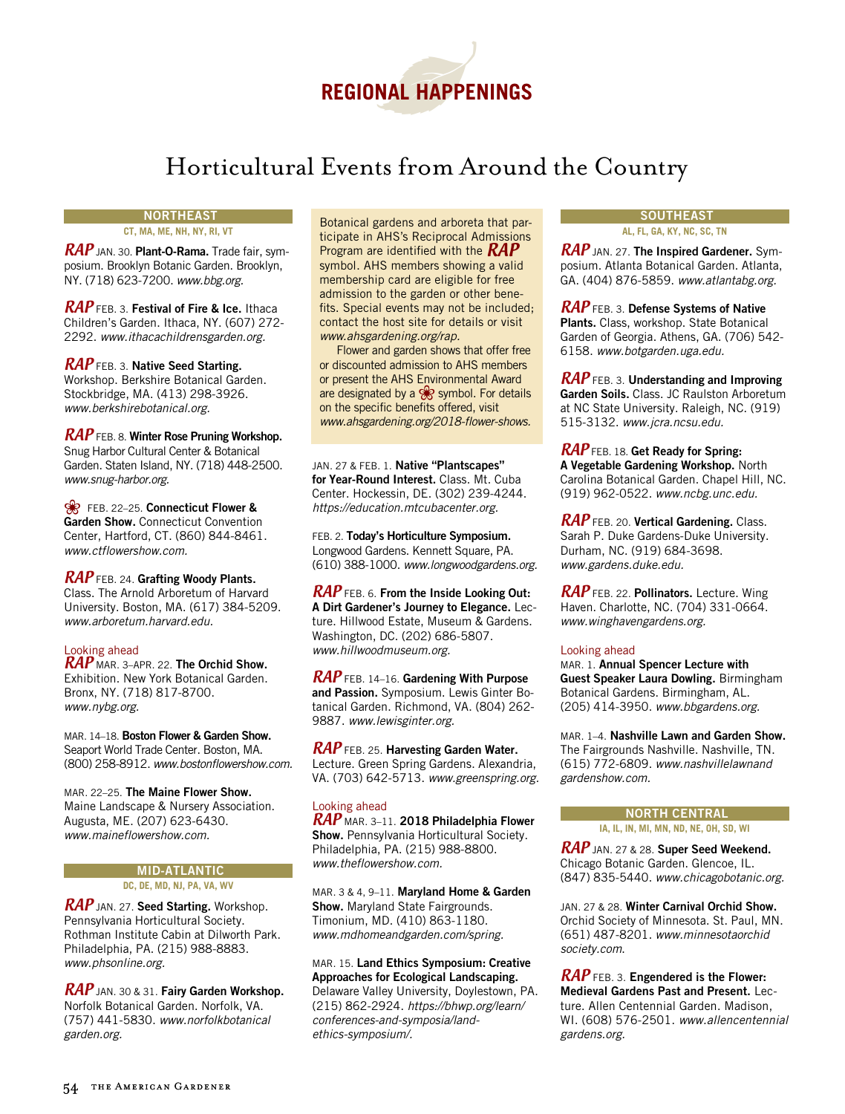

# Horticultural Events from Around the Country

## **NORTHEAST**

**CT, MA, ME, NH, NY, RI, VT**

RAP JAN. 30. **Plant-O-Rama.** Trade fair, symposium. Brooklyn Botanic Garden. Brooklyn, NY. (718) 623-7200. *www.bbg.org.*

RAP FEB. 3. **Festival of Fire & Ice.** Ithaca Children's Garden. Ithaca, NY. (607) 272- 2292. *www.ithacachildrensgarden.org.*

### RAP FEB. 3. **Native Seed Starting.**

Workshop. Berkshire Botanical Garden. Stockbridge, MA. (413) 298-3926. *www.berkshirebotanical.org.*

# RAP FEB. 8. **Winter Rose Pruning Workshop.**

Snug Harbor Cultural Center & Botanical Garden. Staten Island, NY. (718) 448-2500. *www.snug-harbor.org.*

**R** FEB. 22–25. Connecticut Flower & **Garden Show.** Connecticut Convention Center, Hartford, CT. (860) 844-8461. *www.ctflowershow.com.*

RAP FEB. 24. **Grafting Woody Plants.** Class. The Arnold Arboretum of Harvard University. Boston, MA. (617) 384-5209. *www.arboretum.harvard.edu.*

### Looking ahead

RAP MAR. 3–APR. 22. **The Orchid Show.** Exhibition. New York Botanical Garden. Bronx, NY. (718) 817-8700. *www.nybg.org.*

MAR. 14–18. **Boston Flower & Garden Show.** Seaport World Trade Center. Boston, MA. (800) 258-8912. *www.bostonflowershow.com.*

MAR. 22–25. **The Maine Flower Show.** Maine Landscape & Nursery Association. Augusta, ME. (207) 623-6430. *www.maineflowershow.com.*

### **MID-ATLANTIC DC, DE, MD, NJ, PA, VA, WV**

RAP JAN. 27. **Seed Starting.** Workshop. Pennsylvania Horticultural Society. Rothman Institute Cabin at Dilworth Park. Philadelphia, PA. (215) 988-8883. *www.phsonline.org.*

RAP JAN. 30 & 31. **Fairy Garden Workshop.** Norfolk Botanical Garden. Norfolk, VA. (757) 441-5830. *www.norfolkbotanical garden.org.*

Botanical gardens and arboreta that participate in AHS's Reciprocal Admissions Program are identified with the  $RAP$ symbol. AHS members showing a valid membership card are eligible for free admission to the garden or other benefits. Special events may not be included; contact the host site for details or visit *www.ahsgardening.org/rap.*

Flower and garden shows that offer free or discounted admission to AHS members or present the AHS Environmental Award are designated by a  $\frac{1}{\sqrt{2}}$  symbol. For details on the specific benefits offered, visit *www.ahsgardening.org/2018-flower-shows.*

JAN. 27 & FEB. 1. **Native "Plantscapes" for Year-Round Interest.** Class. Mt. Cuba Center. Hockessin, DE. (302) 239-4244. *https://education.mtcubacenter.org.*

FEB. 2. **Today's Horticulture Symposium.**  Longwood Gardens. Kennett Square, PA. (610) 388-1000. *www.longwoodgardens.org.* 

RAP FEB. 6. **From the Inside Looking Out: A Dirt Gardener's Journey to Elegance.** Lecture. Hillwood Estate, Museum & Gardens. Washington, DC. (202) 686-5807. *www.hillwoodmuseum.org.*

RAP FEB. 14–16. **Gardening With Purpose and Passion.** Symposium. Lewis Ginter Botanical Garden. Richmond, VA. (804) 262- 9887. *www.lewisginter.org.*

RAP FEB. 25. **Harvesting Garden Water.** Lecture. Green Spring Gardens. Alexandria, VA. (703) 642-5713. *www.greenspring.org.* 

### Looking ahead

RAP MAR. 3–11. **2018 Philadelphia Flower Show.** Pennsylvania Horticultural Society. Philadelphia, PA. (215) 988-8800. *www.theflowershow.com.*

MAR. 3 & 4, 9–11. **Maryland Home & Garden Show.** Maryland State Fairgrounds. Timonium, MD. (410) 863-1180. *www.mdhomeandgarden.com/spring.*

Mar. 15. **Land Ethics Symposium: Creative Approaches for Ecological Landscaping.** Delaware Valley University, Doylestown, PA. (215) 862-2924. *https://bhwp.org/learn/ conferences-and-symposia/landethics-symposium/.* 

#### **SOUTHEAST AL, FL, GA, KY, NC, SC, TN**

RAP JAN. 27. **The Inspired Gardener.** Symposium. Atlanta Botanical Garden. Atlanta, GA. (404) 876-5859. *www.atlantabg.org.*

RAP FEB. 3. **Defense Systems of Native Plants.** Class, workshop. State Botanical Garden of Georgia. Athens, GA. (706) 542- 6158. *www.botgarden.uga.edu.*

RAP FEB. 3. **Understanding and Improving Garden Soils.** Class. JC Raulston Arboretum at NC State University. Raleigh, NC. (919) 515-3132. *www.jcra.ncsu.edu.*

RAP FEB. 18. **Get Ready for Spring: A Vegetable Gardening Workshop.** North Carolina Botanical Garden. Chapel Hill, NC. (919) 962-0522. *www.ncbg.unc.edu.*

RAP FEB. 20. **Vertical Gardening.** Class. Sarah P. Duke Gardens-Duke University. Durham, NC. (919) 684-3698. *www.gardens.duke.edu.*

RAP FEB. 22. **Pollinators.** Lecture. Wing Haven. Charlotte, NC. (704) 331-0664. *www.winghavengardens.org.*

### Looking ahead

Mar. 1. **Annual Spencer Lecture with Guest Speaker Laura Dowling.** Birmingham Botanical Gardens. Birmingham, AL. (205) 414-3950. *www.bbgardens.org.*

MAR. 1–4. **Nashville Lawn and Garden Show.**  The Fairgrounds Nashville. Nashville, TN. (615) 772-6809. *www.nashvillelawnand gardenshow.com.*

# **NORTH CENTRAL**

**IA, IL, IN, MI, MN, ND, NE, OH, SD, WI**

RAP JAN. 27 & 28. **Super Seed Weekend.** Chicago Botanic Garden. Glencoe, IL. (847) 835-5440. *www.chicagobotanic.org.*

JAN. 27 & 28. **Winter Carnival Orchid Show.** Orchid Society of Minnesota. St. Paul, MN. (651) 487-8201. *www.minnesotaorchid society.com*.

RAP FEB. 3. **Engendered is the Flower: Medieval Gardens Past and Present.** Lecture. Allen Centennial Garden. Madison, WI. (608) 576-2501. *www.allencentennial gardens.org.*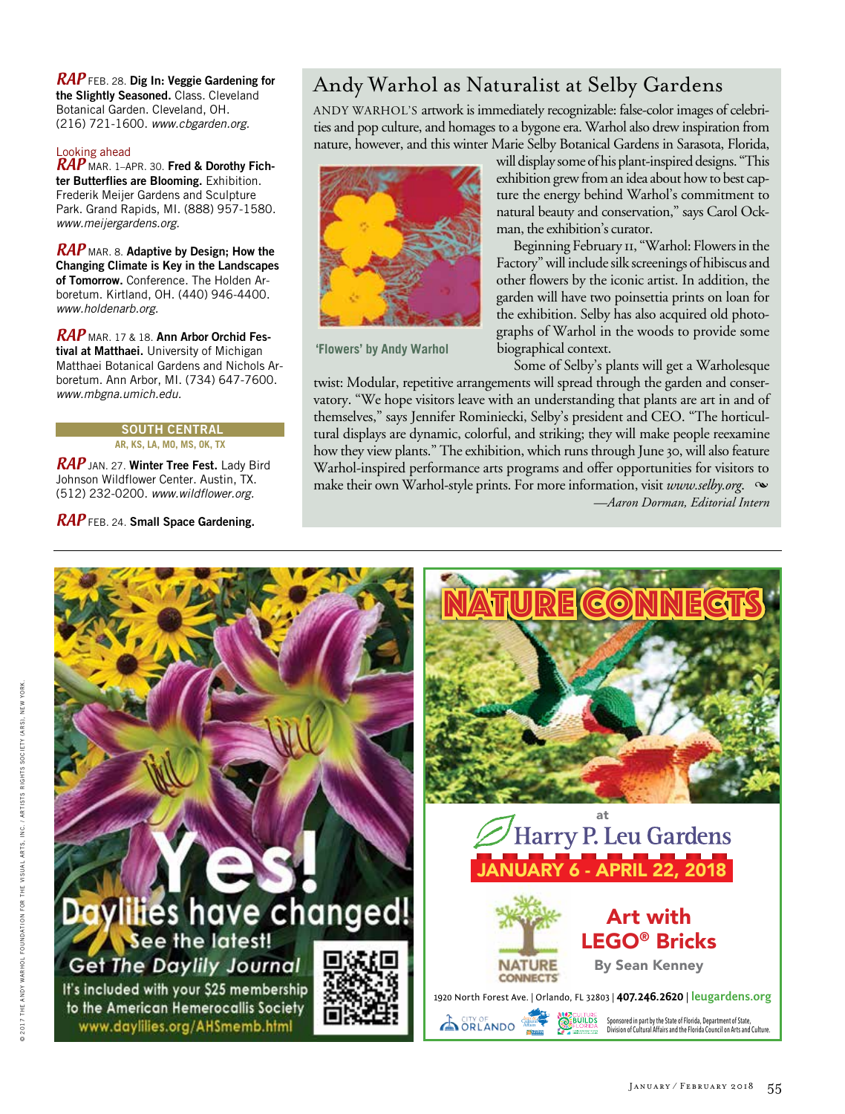RAP FEB. 28. **Dig In: Veggie Gardening for the Slightly Seasoned.** Class. Cleveland Botanical Garden. Cleveland, OH. (216) 721-1600. *www.cbgarden.org.*

## Looking ahead

RAP MAR. 1–APR. 30. **Fred & Dorothy Fichter Butterflies are Blooming.** Exhibition. Frederik Meijer Gardens and Sculpture Park. Grand Rapids, MI. (888) 957-1580. *www.meijergardens.org.*

RAP MAR. 8. **Adaptive by Design; How the Changing Climate is Key in the Landscapes of Tomorrow.** Conference. The Holden Arboretum. Kirtland, OH. (440) 946-4400. *www.holdenarb.org.*

RAP MAR. 17 & 18. **Ann Arbor Orchid Festival at Matthaei.** University of Michigan Matthaei Botanical Gardens and Nichols Arboretum. Ann Arbor, MI. (734) 647-7600. *www.mbgna.umich.edu.*

#### **south central AR, KS, LA, MO, MS, OK, TX**

RAP JAN. 27. **Winter Tree Fest.** Lady Bird Johnson Wildflower Center. Austin, TX. (512) 232-0200. *www.wildflower.org.*

# RAP FEB. 24. **Small Space Gardening.**

# Andy Warhol as Naturalist at Selby Gardens

ANDY WARHOL'S artwork is immediately recognizable: false-color images of celebrities and pop culture, and homages to a bygone era. Warhol also drew inspiration from nature, however, and this winter Marie Selby Botanical Gardens in Sarasota, Florida,



**'Flowers' by Andy Warhol**

will display some of his plant-inspired designs. "This exhibition grew from an idea about how to best capture the energy behind Warhol's commitment to natural beauty and conservation," says Carol Ockman, the exhibition's curator.

Beginning February 11, "Warhol: Flowers in the Factory" will include silk screenings of hibiscus and other flowers by the iconic artist. In addition, the garden will have two poinsettia prints on loan for the exhibition. Selby has also acquired old photographs of Warhol in the woods to provide some biographical context.

Some of Selby's plants will get a Warholesque

twist: Modular, repetitive arrangements will spread through the garden and conservatory. "We hope visitors leave with an understanding that plants are art in and of themselves," says Jennifer Rominiecki, Selby's president and CEO. "The horticultural displays are dynamic, colorful, and striking; they will make people reexamine how they view plants." The exhibition, which runs through June 30, will also feature Warhol-inspired performance arts programs and offer opportunities for visitors to make their own Warhol-style prints. For more information, visit *www.selby.org.*  $\infty$ *—Aaron Dorman, Editorial Intern*